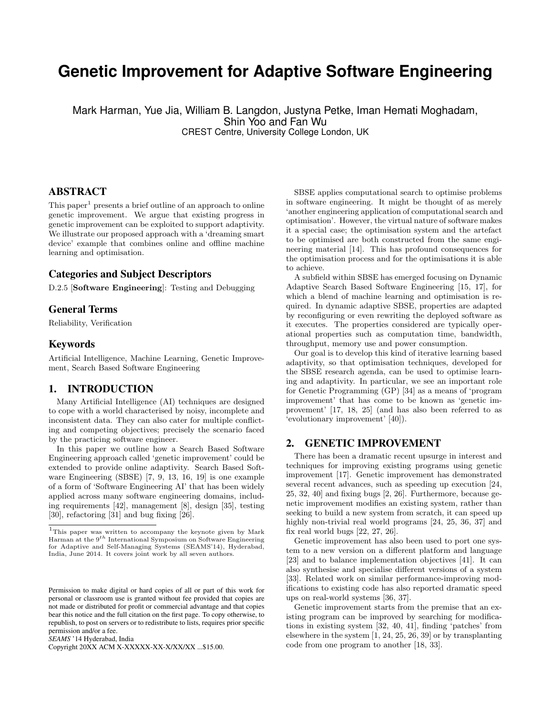# **Genetic Improvement for Adaptive Software Engineering**

Mark Harman, Yue Jia, William B. Langdon, Justyna Petke, Iman Hemati Moghadam, Shin Yoo and Fan Wu CREST Centre, University College London, UK

# ABSTRACT

This paper<sup>1</sup> presents a brief outline of an approach to online genetic improvement. We argue that existing progress in genetic improvement can be exploited to support adaptivity. We illustrate our proposed approach with a 'dreaming smart device' example that combines online and offline machine learning and optimisation.

#### Categories and Subject Descriptors

D.2.5 [Software Engineering]: Testing and Debugging

### General Terms

Reliability, Verification

#### Keywords

Artificial Intelligence, Machine Learning, Genetic Improvement, Search Based Software Engineering

# 1. INTRODUCTION

Many Artificial Intelligence (AI) techniques are designed to cope with a world characterised by noisy, incomplete and inconsistent data. They can also cater for multiple conflicting and competing objectives; precisely the scenario faced by the practicing software engineer.

In this paper we outline how a Search Based Software Engineering approach called 'genetic improvement' could be extended to provide online adaptivity. Search Based Software Engineering (SBSE) [7, 9, 13, 16, 19] is one example of a form of 'Software Engineering AI' that has been widely applied across many software engineering domains, including requirements [42], management [8], design [35], testing [30], refactoring [31] and bug fixing [26].

*SEAMS* '14 Hyderabad, India

Copyright 20XX ACM X-XXXXX-XX-X/XX/XX ...\$15.00.

SBSE applies computational search to optimise problems in software engineering. It might be thought of as merely 'another engineering application of computational search and optimisation'. However, the virtual nature of software makes it a special case; the optimisation system and the artefact to be optimised are both constructed from the same engineering material [14]. This has profound consequences for the optimisation process and for the optimisations it is able to achieve.

A subfield within SBSE has emerged focusing on Dynamic Adaptive Search Based Software Engineering [15, 17], for which a blend of machine learning and optimisation is required. In dynamic adaptive SBSE, properties are adapted by reconfiguring or even rewriting the deployed software as it executes. The properties considered are typically operational properties such as computation time, bandwidth, throughput, memory use and power consumption.

Our goal is to develop this kind of iterative learning based adaptivity, so that optimisation techniques, developed for the SBSE research agenda, can be used to optimise learning and adaptivity. In particular, we see an important role for Genetic Programming (GP) [34] as a means of 'program improvement' that has come to be known as 'genetic improvement' [17, 18, 25] (and has also been referred to as 'evolutionary improvement' [40]).

#### 2. GENETIC IMPROVEMENT

There has been a dramatic recent upsurge in interest and techniques for improving existing programs using genetic improvement [17]. Genetic improvement has demonstrated several recent advances, such as speeding up execution [24, 25, 32, 40] and fixing bugs [2, 26]. Furthermore, because genetic improvement modifies an existing system, rather than seeking to build a new system from scratch, it can speed up highly non-trivial real world programs [24, 25, 36, 37] and fix real world bugs [22, 27, 26].

Genetic improvement has also been used to port one system to a new version on a different platform and language [23] and to balance implementation objectives [41]. It can also synthesise and specialise different versions of a system [33]. Related work on similar performance-improving modifications to existing code has also reported dramatic speed ups on real-world systems [36, 37].

Genetic improvement starts from the premise that an existing program can be improved by searching for modifications in existing system [32, 40, 41], finding 'patches' from elsewhere in the system [1, 24, 25, 26, 39] or by transplanting code from one program to another [18, 33].

 $\rm ^1$  This paper was written to accompany the keynote given by Mark Harman at the 9<sup>th</sup> International Symposium on Software Engineering for Adaptive and Self-Managing Systems (SEAMS'14), Hyderabad, India, June 2014. It covers joint work by all seven authors.

Permission to make digital or hard copies of all or part of this work for personal or classroom use is granted without fee provided that copies are not made or distributed for profit or commercial advantage and that copies bear this notice and the full citation on the first page. To copy otherwise, to republish, to post on servers or to redistribute to lists, requires prior specific permission and/or a fee.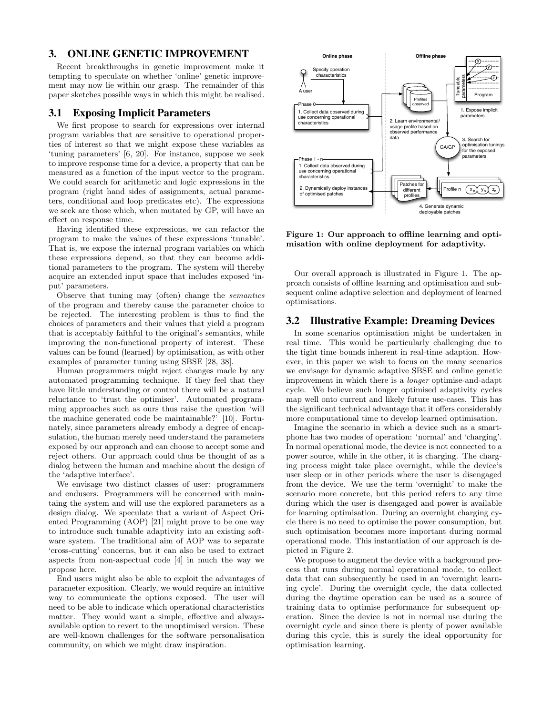#### 3. ONLINE GENETIC IMPROVEMENT

Recent breakthroughs in genetic improvement make it tempting to speculate on whether 'online' genetic improvement may now lie within our grasp. The remainder of this paper sketches possible ways in which this might be realised.

#### 3.1 Exposing Implicit Parameters

We first propose to search for expressions over internal program variables that are sensitive to operational properties of interest so that we might expose these variables as 'tuning parameters' [6, 20]. For instance, suppose we seek to improve response time for a device, a property that can be measured as a function of the input vector to the program. We could search for arithmetic and logic expressions in the program (right hand sides of assignments, actual parameters, conditional and loop predicates etc). The expressions we seek are those which, when mutated by GP, will have an effect on response time.

Having identified these expressions, we can refactor the program to make the values of these expressions 'tunable'. That is, we expose the internal program variables on which these expressions depend, so that they can become additional parameters to the program. The system will thereby acquire an extended input space that includes exposed 'input' parameters.

Observe that tuning may (often) change the semantics of the program and thereby cause the parameter choice to be rejected. The interesting problem is thus to find the choices of parameters and their values that yield a program that is acceptably faithful to the original's semantics, while improving the non-functional property of interest. These values can be found (learned) by optimisation, as with other examples of parameter tuning using SBSE [28, 38].

Human programmers might reject changes made by any automated programming technique. If they feel that they have little understanding or control there will be a natural reluctance to 'trust the optimiser'. Automated programming approaches such as ours thus raise the question 'will the machine generated code be maintainable?' [10]. Fortunately, since parameters already embody a degree of encapsulation, the human merely need understand the parameters exposed by our approach and can choose to accept some and reject others. Our approach could thus be thought of as a dialog between the human and machine about the design of the 'adaptive interface'.

We envisage two distinct classes of user: programmers and endusers. Programmers will be concerned with maintaing the system and will use the explored parameters as a design dialog. We speculate that a variant of Aspect Oriented Programming (AOP) [21] might prove to be one way to introduce such tunable adaptivity into an existing software system. The traditional aim of AOP was to separate 'cross-cutting' concerns, but it can also be used to extract aspects from non-aspectual code [4] in much the way we propose here.

End users might also be able to exploit the advantages of parameter exposition. Clearly, we would require an intuitive way to communicate the options exposed. The user will need to be able to indicate which operational characteristics matter. They would want a simple, effective and alwaysavailable option to revert to the unoptimised version. These are well-known challenges for the software personalisation community, on which we might draw inspiration.



Figure 1: Our approach to offline learning and optimisation with online deployment for adaptivity.

Our overall approach is illustrated in Figure 1. The approach consists of offline learning and optimisation and subsequent online adaptive selection and deployment of learned optimisations.

#### 3.2 Illustrative Example: Dreaming Devices

In some scenarios optimisation might be undertaken in real time. This would be particularly challenging due to the tight time bounds inherent in real-time adaption. However, in this paper we wish to focus on the many scenarios we envisage for dynamic adaptive SBSE and online genetic improvement in which there is a longer optimise-and-adapt cycle. We believe such longer optimised adaptivity cycles map well onto current and likely future use-cases. This has the significant technical advantage that it offers considerably more computational time to develop learned optimisation.

Imagine the scenario in which a device such as a smartphone has two modes of operation: 'normal' and 'charging'. In normal operational mode, the device is not connected to a power source, while in the other, it is charging. The charging process might take place overnight, while the device's user sleep or in other periods where the user is disengaged from the device. We use the term 'overnight' to make the scenario more concrete, but this period refers to any time during which the user is disengaged and power is available for learning optimisation. During an overnight charging cycle there is no need to optimise the power consumption, but such optimisation becomes more important during normal operational mode. This instantiation of our approach is depicted in Figure 2.

We propose to augment the device with a background process that runs during normal operational mode, to collect data that can subsequently be used in an 'overnight learning cycle'. During the overnight cycle, the data collected during the daytime operation can be used as a source of training data to optimise performance for subsequent operation. Since the device is not in normal use during the overnight cycle and since there is plenty of power available during this cycle, this is surely the ideal opportunity for optimisation learning.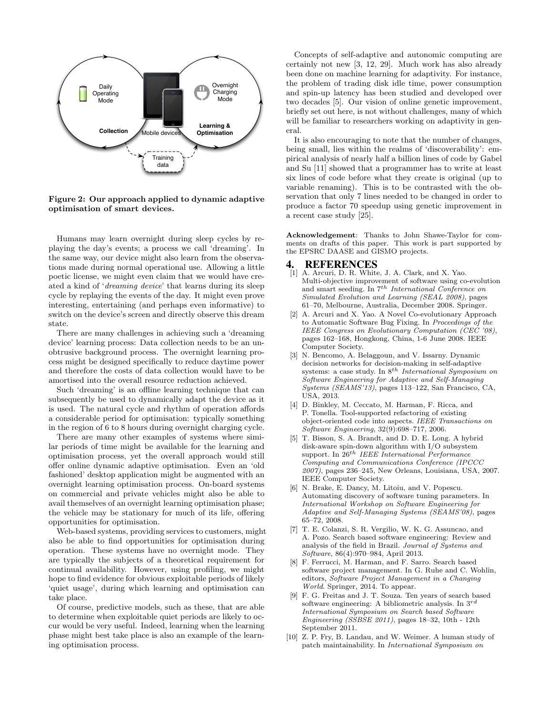

Figure 2: Our approach applied to dynamic adaptive optimisation of smart devices.

Humans may learn overnight during sleep cycles by replaying the day's events; a process we call 'dreaming'. In the same way, our device might also learn from the observations made during normal operational use. Allowing a little poetic license, we might even claim that we would have created a kind of 'dreaming device' that learns during its sleep cycle by replaying the events of the day. It might even prove interesting, entertaining (and perhaps even informative) to switch on the device's screen and directly observe this dream state.

There are many challenges in achieving such a 'dreaming device' learning process: Data collection needs to be an unobtrusive background process. The overnight learning process might be designed specifically to reduce daytime power and therefore the costs of data collection would have to be amortised into the overall resource reduction achieved.

Such 'dreaming' is an offline learning technique that can subsequently be used to dynamically adapt the device as it is used. The natural cycle and rhythm of operation affords a considerable period for optimisation: typically something in the region of 6 to 8 hours during overnight charging cycle.

There are many other examples of systems where similar periods of time might be available for the learning and optimisation process, yet the overall approach would still offer online dynamic adaptive optimisation. Even an 'old fashioned' desktop application might be augmented with an overnight learning optimisation process. On-board systems on commercial and private vehicles might also be able to avail themselves of an overnight learning optimisation phase; the vehicle may be stationary for much of its life, offering opportunities for optimisation.

Web-based systems, providing services to customers, might also be able to find opportunities for optimisation during operation. These systems have no overnight mode. They are typically the subjects of a theoretical requirement for continual availability. However, using profiling, we might hope to find evidence for obvious exploitable periods of likely 'quiet usage', during which learning and optimisation can take place.

Of course, predictive models, such as these, that are able to determine when exploitable quiet periods are likely to occur would be very useful. Indeed, learning when the learning phase might best take place is also an example of the learning optimisation process.

Concepts of self-adaptive and autonomic computing are certainly not new [3, 12, 29]. Much work has also already been done on machine learning for adaptivity. For instance, the problem of trading disk idle time, power consumption and spin-up latency has been studied and developed over two decades [5]. Our vision of online genetic improvement, briefly set out here, is not without challenges, many of which will be familiar to researchers working on adaptivity in general.

It is also encouraging to note that the number of changes, being small, lies within the realms of 'discoverability': empirical analysis of nearly half a billion lines of code by Gabel and Su [11] showed that a programmer has to write at least six lines of code before what they create is original (up to variable renaming). This is to be contrasted with the observation that only 7 lines needed to be changed in order to produce a factor 70 speedup using genetic improvement in a recent case study [25].

Acknowledgement: Thanks to John Shawe-Taylor for comments on drafts of this paper. This work is part supported by the EPSRC DAASE and GISMO projects.

# 4. REFERENCES<br>[1] A. Arcuri, D. R. White

- [1] A. Arcuri, D. R. White, J. A. Clark, and X. Yao. Multi-objective improvement of software using co-evolution and smart seeding. In  $7<sup>th</sup> International Conference on$ Simulated Evolution and Learning (SEAL 2008), pages 61–70, Melbourne, Australia, December 2008. Springer.
- [2] A. Arcuri and X. Yao. A Novel Co-evolutionary Approach to Automatic Software Bug Fixing. In Proceedings of the IEEE Congress on Evolutionary Computation (CEC '08), pages 162–168, Hongkong, China, 1-6 June 2008. IEEE Computer Society.
- [3] N. Bencomo, A. Belaggoun, and V. Issarny. Dynamic decision networks for decision-making in self-adaptive systems: a case study. In  $8^{th}$  International Symposium on Software Engineering for Adaptive and Self-Managing Systems (SEAMS'13), pages 113–122, San Francisco, CA, USA, 2013.
- [4] D. Binkley, M. Ceccato, M. Harman, F. Ricca, and P. Tonella. Tool-supported refactoring of existing object-oriented code into aspects. IEEE Transactions on Software Engineering, 32(9):698–717, 2006.
- [5] T. Bisson, S. A. Brandt, and D. D. E. Long. A hybrid disk-aware spin-down algorithm with I/O subsystem support. In  $26^{th}$  IEEE International Performance Computing and Communications Conference (IPCCC 2007), pages 236–245, New Orleans, Louisiana, USA, 2007. IEEE Computer Society.
- [6] N. Brake, E. Dancy, M. Litoiu, and V. Popescu. Automating discovery of software tuning parameters. In International Workshop on Software Engineering for Adaptive and Self-Managing Systems (SEAMS'08), pages 65–72, 2008.
- [7] T. E. Colanzi, S. R. Vergilio, W. K. G. Assuncao, and A. Pozo. Search based software engineering: Review and analysis of the field in Brazil. Journal of Systems and Software, 86(4):970–984, April 2013.
- [8] F. Ferrucci, M. Harman, and F. Sarro. Search based software project management. In G. Ruhe and C. Wohlin, editors, Software Project Management in a Changing World. Springer, 2014. To appear.
- [9] F. G. Freitas and J. T. Souza. Ten years of search based software engineering: A bibliometric analysis. In  $3^{rd}$ International Symposium on Search based Software Engineering (SSBSE 2011), pages 18–32, 10th - 12th September 2011.
- [10] Z. P. Fry, B. Landau, and W. Weimer. A human study of patch maintainability. In International Symposium on